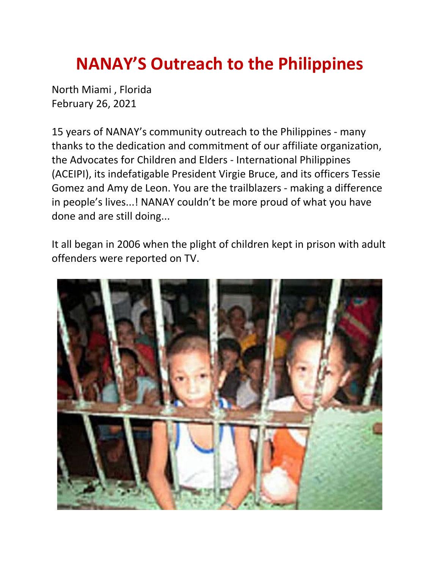## **NANAY'S Outreach to the Philippines**

North Miami , Florida February 26, 2021

15 years of NANAY's community outreach to the Philippines - many thanks to the dedication and commitment of our affiliate organization, the Advocates for Children and Elders - International Philippines (ACEIPI), its indefatigable President Virgie Bruce, and its officers Tessie Gomez and Amy de Leon. You are the trailblazers - making a difference in people's lives...! NANAY couldn't be more proud of what you have done and are still doing...

It all began in 2006 when the plight of children kept in prison with adult offenders were reported on TV.

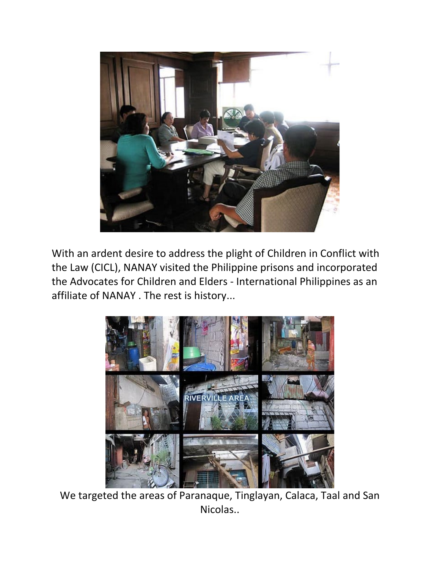

With an ardent desire to address the plight of Children in Conflict with the Law (CICL), NANAY visited the Philippine prisons and incorporated the Advocates for Children and Elders - International Philippines as an affiliate of NANAY . The rest is history...



We targeted the areas of Paranaque, Tinglayan, Calaca, Taal and San Nicolas..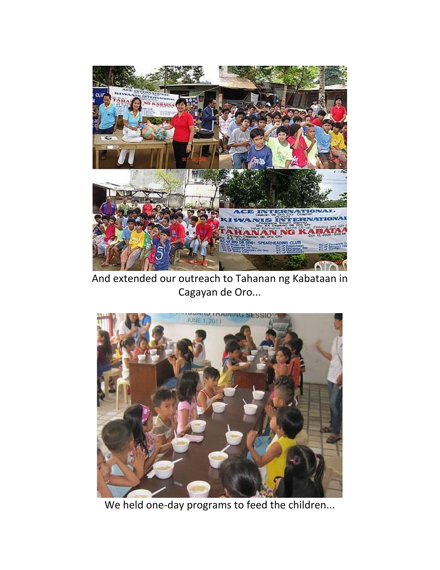

And extended our outreach to Tahanan ng Kabataan in Cagayan de Oro...



We held one-day programs to feed the children...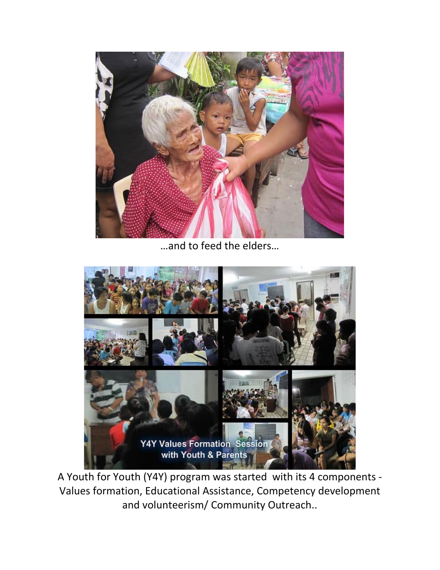

…and to feed the elders…



A Youth for Youth (Y4Y) program was started with its 4 components - Values formation, Educational Assistance, Competency development and volunteerism/ Community Outreach..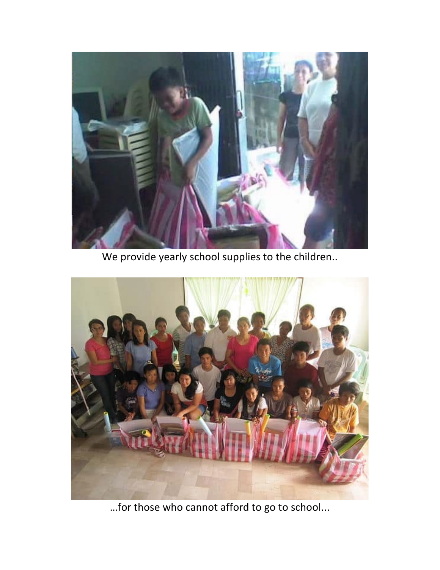

We provide yearly school supplies to the children..



…for those who cannot afford to go to school...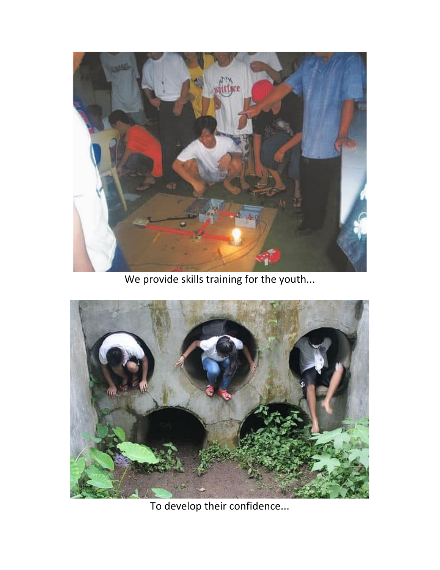

We provide skills training for the youth...



To develop their confidence...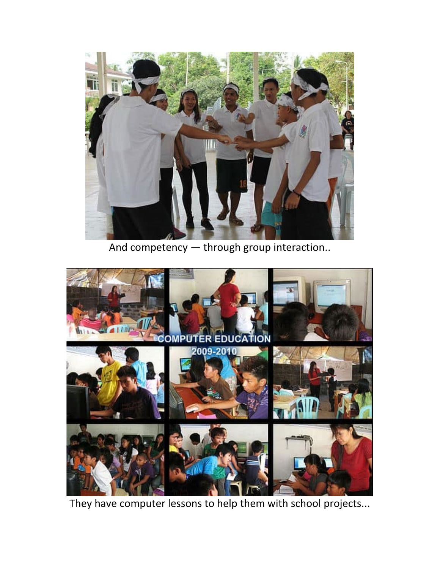

And competency — through group interaction..



They have computer lessons to help them with school projects...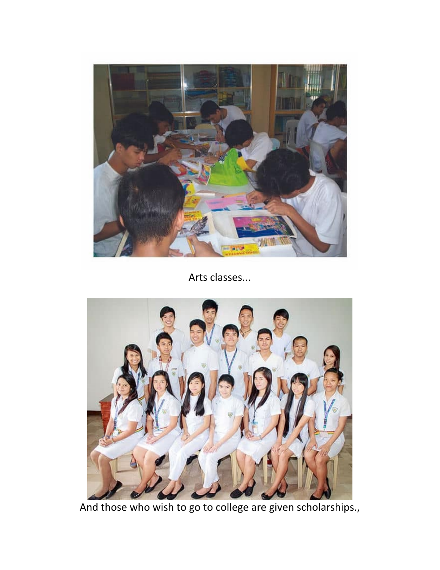

Arts classes...



And those who wish to go to college are given scholarships.,